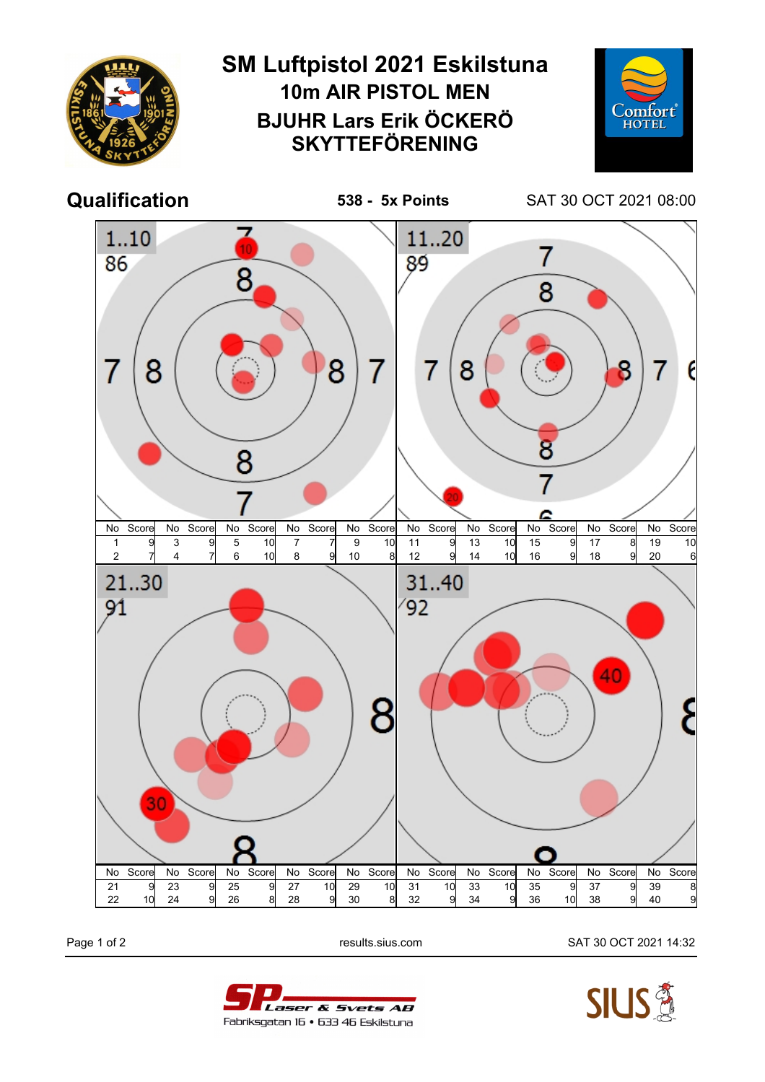

Page 1 of 2 results.sius.com SAT 30 OCT 2021 14:32